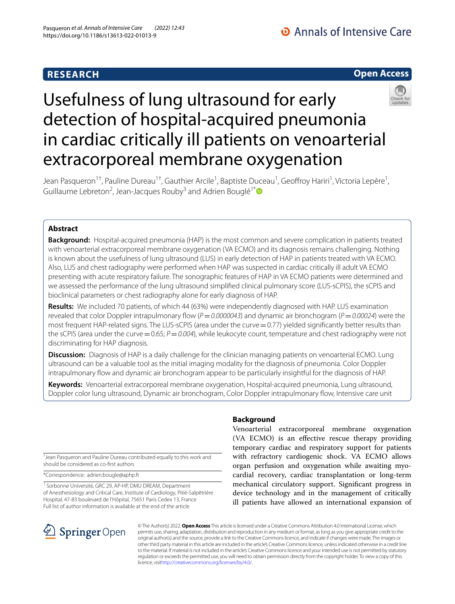# **RESEARCH**



# Usefulness of lung ultrasound for early detection of hospital-acquired pneumonia in cardiac critically ill patients on venoarterial extracorporeal membrane oxygenation



## **Abstract**

**Background:** Hospital-acquired pneumonia (HAP) is the most common and severe complication in patients treated with venoarterial extracorporeal membrane oxygenation (VA ECMO) and its diagnosis remains challenging. Nothing is known about the usefulness of lung ultrasound (LUS) in early detection of HAP in patients treated with VA ECMO. Also, LUS and chest radiography were performed when HAP was suspected in cardiac critically ill adult VA ECMO presenting with acute respiratory failure. The sonographic features of HAP in VA ECMO patients were determined and we assessed the performance of the lung ultrasound simplifed clinical pulmonary score (LUS-sCPIS), the sCPIS and bioclinical parameters or chest radiography alone for early diagnosis of HAP.

**Results:** We included 70 patients, of which 44 (63%) were independently diagnosed with HAP. LUS examination revealed that color Doppler intrapulmonary fow (*P*=*0.0000043*) and dynamic air bronchogram (*P*=*0.00024*) were the most frequent HAP-related signs. The LUS-sCPIS (area under the curve = 0.77) yielded significantly better results than the sCPIS (area under the curve = 0.65;  $P$  = 0.004), while leukocyte count, temperature and chest radiography were not discriminating for HAP diagnosis.

**Discussion:** Diagnosis of HAP is a daily challenge for the clinician managing patients on venoarterial ECMO. Lung ultrasound can be a valuable tool as the initial imaging modality for the diagnosis of pneumonia. Color Doppler intrapulmonary fow and dynamic air bronchogram appear to be particularly insightful for the diagnosis of HAP.

**Keywords:** Venoarterial extracorporeal membrane oxygenation, Hospital-acquired pneumonia, Lung ultrasound, Doppler color lung ultrasound, Dynamic air bronchogram, Color Doppler intrapulmonary fow, Intensive care unit

† Jean Pasqueron and Pauline Dureau contributed equally to this work and should be considered as co-frst authors

\*Correspondence: adrien.bougle@aphp.fr

<sup>1</sup> Sorbonne Université, GRC 29, AP-HP, DMU DREAM, Department of Anesthesiology and Critical Care, Institute of Cardiology, Pitié-Salpêtrière Hospital, 47‑83 boulevard de l'Hôpital, 75651 Paris Cedex 13, France Full list of author information is available at the end of the article

## **Background**

Venoarterial extracorporeal membrane oxygenation (VA ECMO) is an efective rescue therapy providing temporary cardiac and respiratory support for patients with refractory cardiogenic shock. VA ECMO allows organ perfusion and oxygenation while awaiting myocardial recovery, cardiac transplantation or long-term mechanical circulatory support. Signifcant progress in device technology and in the management of critically ill patients have allowed an international expansion of



© The Author(s) 2022. **Open Access** This article is licensed under a Creative Commons Attribution 4.0 International License, which permits use, sharing, adaptation, distribution and reproduction in any medium or format, as long as you give appropriate credit to the original author(s) and the source, provide a link to the Creative Commons licence, and indicate if changes were made. The images or other third party material in this article are included in the article's Creative Commons licence, unless indicated otherwise in a credit line to the material. If material is not included in the article's Creative Commons licence and your intended use is not permitted by statutory regulation or exceeds the permitted use, you will need to obtain permission directly from the copyright holder. To view a copy of this licence, visi[thttp://creativecommons.org/licenses/by/4.0/](http://creativecommons.org/licenses/by/4.0/).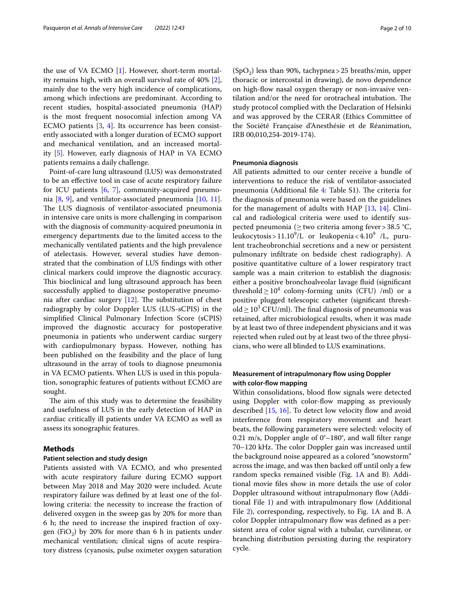the use of VA ECMO [\[1\]](#page-8-0). However, short-term mortality remains high, with an overall survival rate of 40% [\[2](#page-8-1)], mainly due to the very high incidence of complications, among which infections are predominant. According to recent studies, hospital-associated pneumonia (HAP) is the most frequent nosocomial infection among VA ECMO patients  $[3, 4]$  $[3, 4]$  $[3, 4]$  $[3, 4]$ . Its occurrence has been consistently associated with a longer duration of ECMO support and mechanical ventilation, and an increased mortality [\[5](#page-8-4)]. However, early diagnosis of HAP in VA ECMO patients remains a daily challenge.

Point-of-care lung ultrasound (LUS) was demonstrated to be an efective tool in case of acute respiratory failure for ICU patients [[6](#page-8-5), [7](#page-8-6)], community-acquired pneumonia [[8,](#page-8-7) [9](#page-8-8)], and ventilator-associated pneumonia [[10,](#page-8-9) [11](#page-8-10)]. The LUS diagnosis of ventilator-associated pneumonia in intensive care units is more challenging in comparison with the diagnosis of community-acquired pneumonia in emergency departments due to the limited access to the mechanically ventilated patients and the high prevalence of atelectasis. However, several studies have demonstrated that the combination of LUS fndings with other clinical markers could improve the diagnostic accuracy. This bioclinical and lung ultrasound approach has been successfully applied to diagnose postoperative pneumonia after cardiac surgery  $[12]$  $[12]$ . The substitution of chest radiography by color Doppler LUS (LUS-sCPIS) in the simplifed Clinical Pulmonary Infection Score (sCPIS) improved the diagnostic accuracy for postoperative pneumonia in patients who underwent cardiac surgery with cardiopulmonary bypass. However, nothing has been published on the feasibility and the place of lung ultrasound in the array of tools to diagnose pneumonia in VA ECMO patients. When LUS is used in this population, sonographic features of patients without ECMO are sought.

The aim of this study was to determine the feasibility and usefulness of LUS in the early detection of HAP in cardiac critically ill patients under VA ECMO as well as assess its sonographic features.

## **Methods**

#### **Patient selection and study design**

Patients assisted with VA ECMO, and who presented with acute respiratory failure during ECMO support between May 2018 and May 2020 were included. Acute respiratory failure was defned by at least one of the following criteria: the necessity to increase the fraction of delivered oxygen in the sweep gas by 20% for more than 6 h; the need to increase the inspired fraction of oxygen (FiO<sub>2</sub>) by 20% for more than 6 h in patients under mechanical ventilation; clinical signs of acute respiratory distress (cyanosis, pulse oximeter oxygen saturation

 $(SpO<sub>2</sub>)$  less than 90%, tachypnea > 25 breaths/min, upper thoracic or intercostal in drawing), de novo dependence on high-fow nasal oxygen therapy or non-invasive ventilation and/or the need for orotracheal intubation. The study protocol complied with the Declaration of Helsinki and was approved by the CERAR (Ethics Committee of the Société Française d'Anesthésie et de Réanimation, IRB 00,010,254-2019-174).

#### **Pneumonia diagnosis**

All patients admitted to our center receive a bundle of interventions to reduce the risk of ventilator-associated pneumonia (Additional file  $4$ : Table S1). The criteria for the diagnosis of pneumonia were based on the guidelines for the management of adults with HAP [[13,](#page-8-13) [14](#page-8-14)]. Clinical and radiological criteria were used to identify suspected pneumonia ( $\geq$ two criteria among fever > 38.5 °C, leukocytosis >  $11.10^9$ /L or leukopenia <  $4.10^9$  /L, purulent tracheobronchial secretions and a new or persistent pulmonary infltrate on bedside chest radiography). A positive quantitative culture of a lower respiratory tract sample was a main criterion to establish the diagnosis: either a positive bronchoalveolar lavage fuid (signifcant threshold  $\geq 10^4$  colony-forming units (CFU) /ml) or a positive plugged telescopic catheter (signifcant threshold ≥  $10^3$  CFU/ml). The final diagnosis of pneumonia was retained, after microbiological results, when it was made by at least two of three independent physicians and it was rejected when ruled out by at least two of the three physicians, who were all blinded to LUS examinations.

## **Measurement of intrapulmonary fow using Doppler with color‑fow mapping**

Within consolidations, blood flow signals were detected using Doppler with color-flow mapping as previously described  $[15, 16]$  $[15, 16]$  $[15, 16]$  $[15, 16]$ . To detect low velocity flow and avoid interference from respiratory movement and heart beats, the following parameters were selected: velocity of 0.21 m/s, Doppler angle of 0°–180°, and wall flter range 70–120 kHz. The color Doppler gain was increased until the background noise appeared as a colored "snowstorm" across the image, and was then backed off until only a few random specks remained visible (Fig. [1](#page-2-0)A and B). Additional movie fles show in more details the use of color Doppler ultrasound without intrapulmonary flow (Additional File [1](#page-7-0)) and with intrapulmonary fow (Additional File [2\)](#page-7-1), corresponding, respectively, to Fig. [1A](#page-2-0) and B. A color Doppler intrapulmonary flow was defined as a persistent area of color signal with a tubular, curvilinear, or branching distribution persisting during the respiratory cycle.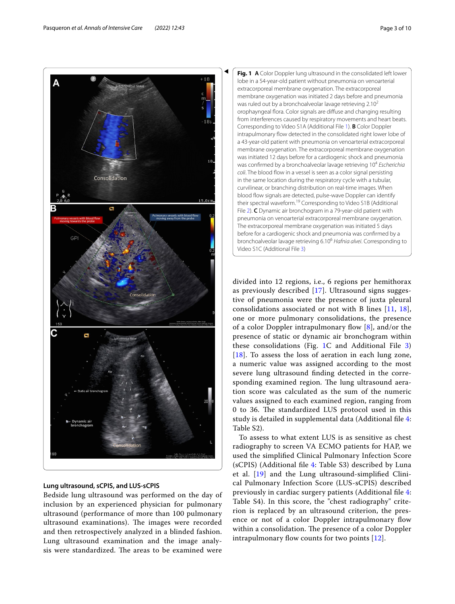

#### **Lung ultrasound, sCPIS, and LUS‑sCPIS**

Bedside lung ultrasound was performed on the day of inclusion by an experienced physician for pulmonary ultrasound (performance of more than 100 pulmonary ultrasound examinations). The images were recorded and then retrospectively analyzed in a blinded fashion. Lung ultrasound examination and the image analysis were standardized. The areas to be examined were

<span id="page-2-0"></span>

divided into 12 regions, i.e., 6 regions per hemithorax as previously described [[17\]](#page-9-2). Ultrasound signs suggestive of pneumonia were the presence of juxta pleural consolidations associated or not with B lines [[11,](#page-8-10) [18](#page-9-3)], one or more pulmonary consolidations, the presence of a color Doppler intrapulmonary flow  $[8]$  $[8]$ , and/or the presence of static or dynamic air bronchogram within these consolidations (Fig. [1](#page-2-0)C and Additional File [3](#page-8-15)) [[18](#page-9-3)]. To assess the loss of aeration in each lung zone, a numeric value was assigned according to the most severe lung ultrasound fnding detected in the corresponding examined region. The lung ultrasound aeration score was calculated as the sum of the numeric values assigned to each examined region, ranging from 0 to 36. The standardized LUS protocol used in this study is detailed in supplemental data (Additional fle [4](#page-8-12): Table S2).

To assess to what extent LUS is as sensitive as chest radiography to screen VA ECMO patients for HAP, we used the simplifed Clinical Pulmonary Infection Score (sCPIS) (Additional fle [4](#page-8-12): Table S3) described by Luna et al. [\[19](#page-9-4)] and the Lung ultrasound-simplifed Clinical Pulmonary Infection Score (LUS-sCPIS) described previously in cardiac surgery patients (Additional fle [4](#page-8-12): Table S4). In this score, the "chest radiography" criterion is replaced by an ultrasound criterion, the presence or not of a color Doppler intrapulmonary flow within a consolidation. The presence of a color Doppler intrapulmonary flow counts for two points  $[12]$  $[12]$ .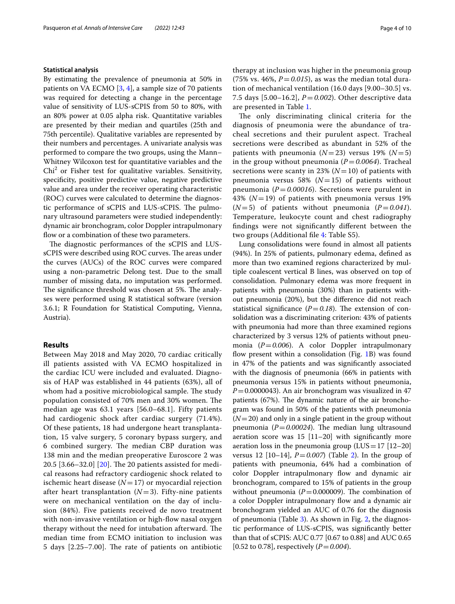#### **Statistical analysis**

By estimating the prevalence of pneumonia at 50% in patients on VA ECMO [[3,](#page-8-2) [4](#page-8-3)], a sample size of 70 patients was required for detecting a change in the percentage value of sensitivity of LUS-sCPIS from 50 to 80%, with an 80% power at 0.05 alpha risk. Quantitative variables are presented by their median and quartiles (25th and 75th percentile). Qualitative variables are represented by their numbers and percentages. A univariate analysis was performed to compare the two groups, using the Mann– Whitney Wilcoxon test for quantitative variables and the Chi<sup>2</sup> or Fisher test for qualitative variables. Sensitivity, specifcity, positive predictive value, negative predictive value and area under the receiver operating characteristic (ROC) curves were calculated to determine the diagnostic performance of sCPIS and LUS-sCPIS. The pulmonary ultrasound parameters were studied independently: dynamic air bronchogram, color Doppler intrapulmonary flow or a combination of these two parameters.

The diagnostic performances of the sCPIS and LUSsCPIS were described using ROC curves. The areas under the curves (AUCs) of the ROC curves were compared using a non-parametric Delong test. Due to the small number of missing data, no imputation was performed. The significance threshold was chosen at 5%. The analyses were performed using R statistical software (version 3.6.1; R Foundation for Statistical Computing, Vienna, Austria).

## **Results**

Between May 2018 and May 2020, 70 cardiac critically ill patients assisted with VA ECMO hospitalized in the cardiac ICU were included and evaluated. Diagnosis of HAP was established in 44 patients (63%), all of whom had a positive microbiological sample. The study population consisted of 70% men and 30% women. The median age was 63.1 years [56.0–68.1]. Fifty patients had cardiogenic shock after cardiac surgery (71.4%). Of these patients, 18 had undergone heart transplantation, 15 valve surgery, 5 coronary bypass surgery, and 6 combined surgery. The median CBP duration was 138 min and the median preoperative Euroscore 2 was 20.5  $[3.66 - 32.0]$   $[20]$  $[20]$ . The 20 patients assisted for medical reasons had refractory cardiogenic shock related to ischemic heart disease (*N*=17) or myocardial rejection after heart transplantation  $(N=3)$ . Fifty-nine patients were on mechanical ventilation on the day of inclusion (84%). Five patients received de novo treatment with non-invasive ventilation or high-flow nasal oxygen therapy without the need for intubation afterward. The median time from ECMO initiation to inclusion was 5 days  $[2.25-7.00]$ . The rate of patients on antibiotic therapy at inclusion was higher in the pneumonia group (75% vs. 46%,  $P = 0.015$ ), as was the median total duration of mechanical ventilation (16.0 days [9.00–30.5] vs. 7.5 days [5.00–16.2], *P*=*0.002*). Other descriptive data are presented in Table [1](#page-4-0).

The only discriminating clinical criteria for the diagnosis of pneumonia were the abundance of tracheal secretions and their purulent aspect. Tracheal secretions were described as abundant in 52% of the patients with pneumonia  $(N=23)$  versus 19%  $(N=5)$ in the group without pneumonia (*P*=*0.0064*). Tracheal secretions were scanty in 23% ( $N=10$ ) of patients with pneumonia versus 58% ( $N=15$ ) of patients without pneumonia (*P*=*0.00016*). Secretions were purulent in 43% (*N*=19) of patients with pneumonia versus 19%  $(N=5)$  of patients without pneumonia  $(P=0.041)$ . Temperature, leukocyte count and chest radiography fndings were not signifcantly diferent between the two groups (Additional fle [4](#page-8-12): Table S5).

Lung consolidations were found in almost all patients (94%). In 25% of patients, pulmonary edema, defned as more than two examined regions characterized by multiple coalescent vertical B lines, was observed on top of consolidation. Pulmonary edema was more frequent in patients with pneumonia (30%) than in patients without pneumonia (20%), but the diference did not reach statistical significance  $(P=0.18)$ . The extension of consolidation was a discriminating criterion: 43% of patients with pneumonia had more than three examined regions characterized by 3 versus 12% of patients without pneumonia (*P*=*0.006*). A color Doppler intrapulmonary flow present within a consolidation (Fig.  $1B$ ) was found in 47% of the patients and was signifcantly associated with the diagnosis of pneumonia (66% in patients with pneumonia versus 15% in patients without pneumonia, *P*=0.0000043). An air bronchogram was visualized in 47 patients  $(67%)$ . The dynamic nature of the air bronchogram was found in 50% of the patients with pneumonia (*N*=20) and only in a single patient in the group without pneumonia ( $P = 0.00024$ ). The median lung ultrasound aeration score was 15 [11–20] with signifcantly more aeration loss in the pneumonia group  $(LUS=17 [12-20])$ versus 12 [10–14], *P*=*0.007*) (Table [2](#page-4-1)). In the group of patients with pneumonia, 64% had a combination of color Doppler intrapulmonary flow and dynamic air bronchogram, compared to 15% of patients in the group without pneumonia ( $P=0.000009$ ). The combination of a color Doppler intrapulmonary fow and a dynamic air bronchogram yielded an AUC of 0.76 for the diagnosis of pneumonia (Table [3\)](#page-5-0). As shown in Fig. [2](#page-5-1), the diagnostic performance of LUS-sCPIS, was signifcantly better than that of sCPIS: AUC 0.77 [0.67 to 0.88] and AUC 0.65  $[0.52 \text{ to } 0.78]$ , respectively  $(P = 0.004)$ .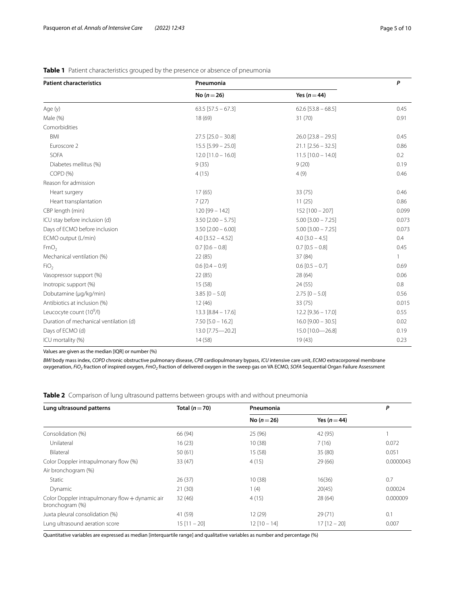| <b>Patient characteristics</b>         | Pneumonia                | P                      |              |
|----------------------------------------|--------------------------|------------------------|--------------|
|                                        | No $(n=26)$              | Yes $(n = 44)$         |              |
| Age (y)                                | $63.5$ [57.5 - 67.3]     | $62.6$ [53.8 - 68.5]   | 0.45         |
| Male (%)                               | 18 (69)                  | 31(70)                 | 0.91         |
| Comorbidities                          |                          |                        |              |
| BMI                                    | $27.5$ [25.0 - 30.8]     | $26.0$ [23.8 - 29.5]   | 0.45         |
| Euroscore 2                            | $15.5$ [5.99 - 25.0]     | $21.1$ [2.56 - 32.5]   | 0.86         |
| SOFA                                   | $12.0$ [11.0 - 16.0]     | $11.5$ $[10.0 - 14.0]$ | 0.2          |
| Diabetes mellitus (%)                  | 9(35)                    | 9(20)                  | 0.19         |
| COPD (%)                               | 4(15)                    | 4(9)                   | 0.46         |
| Reason for admission                   |                          |                        |              |
| Heart surgery                          | 17(65)                   | 33(75)                 | 0.46         |
| Heart transplantation                  | 7(27)                    | 11(25)                 | 0.86         |
| CBP length (min)                       | $120$ [99 - 142]         | $152$ [100 - 207]      | 0.099        |
| ICU stay before inclusion (d)          | $3.50$ [ $2.00 - 5.75$ ] | $5.00$ [3.00 - 7.25]   | 0.073        |
| Days of ECMO before inclusion          | $3.50$ [2.00 - 6.00]     | $5.00$ [3.00 - 7.25]   | 0.073        |
| ECMO output (L/min)                    | $4.0$ [3.52 - 4.52]      | $4.0$ [3.0 - 4.5]      | 0.4          |
| FmO <sub>2</sub>                       | $0.7$ [0.6 - 0.8]        | $0.7$ [0.5 - 0.8]      | 0.45         |
| Mechanical ventilation (%)             | 22 (85)                  | 37 (84)                | $\mathbf{1}$ |
| FiO <sub>2</sub>                       | $0.6$ $[0.4 - 0.9]$      | $0.6$ [0.5 - 0.7]      | 0.69         |
| Vasopressor support (%)                | 22 (85)                  | 28(64)                 | 0.06         |
| Inotropic support (%)                  | 15(58)                   | 24(55)                 | 0.8          |
| Dobutamine (µg/kg/min)                 | $3.85 [0 - 5.0]$         | $2.75$ [0 - 5.0]       | 0.56         |
| Antibiotics at inclusion (%)           | 12(46)                   | 33 (75)                | 0.015        |
| Leucocyte count (10 <sup>9</sup> /l)   | $13.3$ [8.84 - 17.6]     | $12.2$ [9.36 - 17.0]   | 0.55         |
| Duration of mechanical ventilation (d) | $7.50$ [5.0 - 16.2]      | $16.0$ [9.00 - 30.5]   | 0.02         |
| Days of ECMO (d)                       | 13.0 [7.75-20.2]         | 15.0 [10.0-26.8]       | 0.19         |
| ICU mortality (%)                      | 14(58)                   | 19(43)                 | 0.23         |

<span id="page-4-0"></span>**Table 1** Patient characteristics grouped by the presence or absence of pneumonia

Values are given as the median [IQR] or number (%)

*BMI* body mass index, *COPD* chronic obstructive pulmonary disease, *CPB* cardiopulmonary bypass, *ICU* intensive care unit, *ECMO* extracorporeal membrane oxygenation, *FiO2* fraction of inspired oxygen, *FmO2* fraction of delivered oxygen in the sweep gas on VA ECMO, *SOFA* Sequential Organ Failure Assessment

<span id="page-4-1"></span>**Table 2** Comparison of lung ultrasound patterns between groups with and without pneumonia

| Lung ultrasound patterns                                           | Total $(n=70)$ | Pneumonia       |                  | P         |
|--------------------------------------------------------------------|----------------|-----------------|------------------|-----------|
|                                                                    |                | No ( $n = 26$ ) | Yes ( $n = 44$ ) |           |
| Consolidation (%)                                                  | 66 (94)        | 25 (96)         | 42 (95)          |           |
| Unilateral                                                         | 16(23)         | 10(38)          | 7(16)            | 0.072     |
| Bilateral                                                          | 50(61)         | 15(58)          | 35 (80)          | 0.051     |
| Color Doppler intrapulmonary flow (%)                              | 33(47)         | 4(15)           | 29(66)           | 0.0000043 |
| Air bronchogram (%)                                                |                |                 |                  |           |
| Static                                                             | 26(37)         | 10(38)          | 16(36)           | 0.7       |
| Dynamic                                                            | 21(30)         | 1(4)            | 20(45)           | 0.00024   |
| Color Doppler intrapulmonary flow + dynamic air<br>bronchogram (%) | 32(46)         | 4(15)           | 28 (64)          | 0.000009  |
| Juxta pleural consolidation (%)                                    | 41 (59)        | 12(29)          | 29(71)           | 0.1       |
| Lung ultrasound aeration score                                     | $15[11 - 20]$  | $12$ [10 - 14]  | $17$ [12 - 20]   | 0.007     |

Quantitative variables are expressed as median [interquartile range] and qualitative variables as number and percentage (%)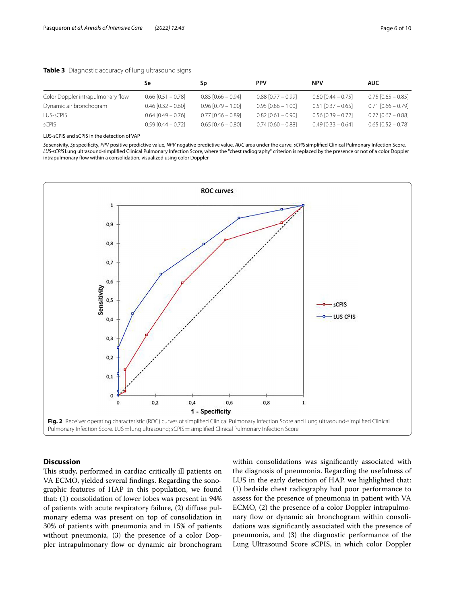|                                   | Se                     | Sp                     | <b>PPV</b>           | <b>NPV</b>             | <b>AUC</b>             |
|-----------------------------------|------------------------|------------------------|----------------------|------------------------|------------------------|
| Color Doppler intrapulmonary flow | $0.66$ [0.51 - 0.78]   | $0.85$ [0.66 - 0.94]   | $0.88$ [0.77 - 0.99] | $0.60$ [0.44 - 0.75]   | $0.75$ [0.65 - 0.85]   |
| Dynamic air bronchogram           | $0.46$ [0.32 - 0.60]   | $0.96$ [0.79 - 1.00]   | $0.95$ [0.86 - 1.00] | $0.51$ $[0.37 - 0.65]$ | $0.71$ $[0.66 - 0.79]$ |
| LUS-sCPIS                         | $0.64$ [0.49 - 0.76]   | $0.77$ $[0.56 - 0.89]$ | $0.82$ [0.61 - 0.90] | $0.56$ [0.39 - 0.72]   | $0.77$ [0.67 - 0.88]   |
| sCPIS                             | $0.59$ $[0.44 - 0.72]$ | $0.65$ [0.46 - 0.80]   | $0.74$ [0.60 - 0.88] | $0.49$ [0.33 - 0.64]   | $0.65$ [0.52 - 0.78]   |

## <span id="page-5-0"></span>**Table 3** Diagnostic accuracy of lung ultrasound signs

LUS-sCPIS and sCPIS in the detection of VAP

*Se* sensivity, *Sp*specifcity, *PPV* positive predictive value, *NPV* negative predictive value, *AUC* area under the curve, *sCPIS* simplifed Clinical Pulmonary Infection Score, *LUS-sCPIS* Lung ultrasound-simplifed Clinical Pulmonary Infection Score, where the "chest radiography" criterion is replaced by the presence or not of a color Doppler intrapulmonary fow within a consolidation, visualized using color Doppler



## <span id="page-5-1"></span>**Discussion**

This study, performed in cardiac critically ill patients on VA ECMO, yielded several fndings. Regarding the sonographic features of HAP in this population, we found that: (1) consolidation of lower lobes was present in 94% of patients with acute respiratory failure, (2) difuse pulmonary edema was present on top of consolidation in 30% of patients with pneumonia and in 15% of patients without pneumonia, (3) the presence of a color Doppler intrapulmonary flow or dynamic air bronchogram within consolidations was signifcantly associated with the diagnosis of pneumonia. Regarding the usefulness of LUS in the early detection of HAP, we highlighted that: (1) bedside chest radiography had poor performance to assess for the presence of pneumonia in patient with VA ECMO, (2) the presence of a color Doppler intrapulmonary flow or dynamic air bronchogram within consolidations was signifcantly associated with the presence of pneumonia, and (3) the diagnostic performance of the Lung Ultrasound Score sCPIS, in which color Doppler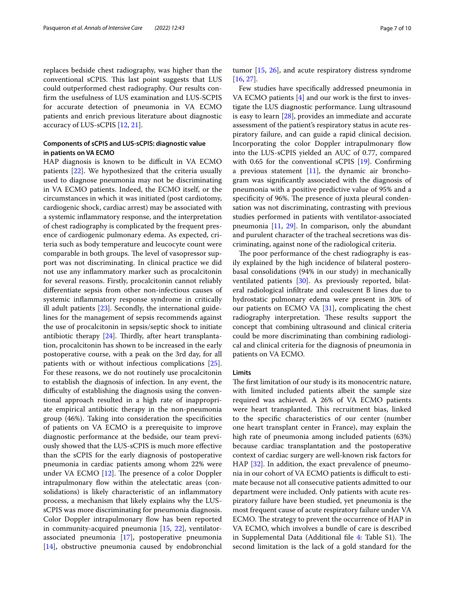replaces bedside chest radiography, was higher than the conventional sCPIS. This last point suggests that LUS could outperformed chest radiography. Our results confrm the usefulness of LUS examination and LUS-SCPIS for accurate detection of pneumonia in VA ECMO patients and enrich previous literature about diagnostic accuracy of LUS-sCPIS [\[12](#page-8-11), [21](#page-9-6)].

## **Components of sCPIS and LUS‑sCPIS: diagnostic value in patients on VA ECMO**

HAP diagnosis is known to be difficult in VA ECMO patients [\[22](#page-9-7)]. We hypothesized that the criteria usually used to diagnose pneumonia may not be discriminating in VA ECMO patients. Indeed, the ECMO itself, or the circumstances in which it was initiated (post cardiotomy, cardiogenic shock, cardiac arrest) may be associated with a systemic infammatory response, and the interpretation of chest radiography is complicated by the frequent presence of cardiogenic pulmonary edema. As expected, criteria such as body temperature and leucocyte count were comparable in both groups. The level of vasopressor support was not discriminating. In clinical practice we did not use any infammatory marker such as procalcitonin for several reasons. Firstly, procalcitonin cannot reliably diferentiate sepsis from other non-infectious causes of systemic infammatory response syndrome in critically ill adult patients [\[23](#page-9-8)]. Secondly, the international guidelines for the management of sepsis recommends against the use of procalcitonin in sepsis/septic shock to initiate antibiotic therapy  $[24]$  $[24]$ . Thirdly, after heart transplantation, procalcitonin has shown to be increased in the early postoperative course, with a peak on the 3rd day, for all patients with or without infectious complications [\[25](#page-9-10)]. For these reasons, we do not routinely use procalcitonin to establish the diagnosis of infection. In any event, the difficulty of establishing the diagnosis using the conventional approach resulted in a high rate of inappropriate empirical antibiotic therapy in the non-pneumonia group (46%). Taking into consideration the specifcities of patients on VA ECMO is a prerequisite to improve diagnostic performance at the bedside, our team previously showed that the LUS-sCPIS is much more efective than the sCPIS for the early diagnosis of postoperative pneumonia in cardiac patients among whom 22% were under VA ECMO  $[12]$  $[12]$ . The presence of a color Doppler intrapulmonary flow within the atelectatic areas (consolidations) is likely characteristic of an infammatory process, a mechanism that likely explains why the LUSsCPIS was more discriminating for pneumonia diagnosis. Color Doppler intrapulmonary flow has been reported in community-acquired pneumonia [[15](#page-9-0), [22\]](#page-9-7), ventilatorassociated pneumonia [[17\]](#page-9-2), postoperative pneumonia [[14\]](#page-8-14), obstructive pneumonia caused by endobronchial tumor [[15,](#page-9-0) [26](#page-9-11)], and acute respiratory distress syndrome [[16,](#page-9-1) [27](#page-9-12)].

Few studies have specifcally addressed pneumonia in VA ECMO patients  $[4]$  $[4]$  and our work is the first to investigate the LUS diagnostic performance. Lung ultrasound is easy to learn [[28\]](#page-9-13), provides an immediate and accurate assessment of the patient's respiratory status in acute respiratory failure, and can guide a rapid clinical decision. Incorporating the color Doppler intrapulmonary flow into the LUS-sCPIS yielded an AUC of 0.77, compared with 0.65 for the conventional sCPIS [\[19](#page-9-4)]. Confirming a previous statement  $[11]$  $[11]$ , the dynamic air bronchogram was signifcantly associated with the diagnosis of pneumonia with a positive predictive value of 95% and a specificity of 96%. The presence of juxta pleural condensation was not discriminating, contrasting with previous studies performed in patients with ventilator-associated pneumonia [\[11](#page-8-10), [29](#page-9-14)]. In comparison, only the abundant and purulent character of the tracheal secretions was discriminating, against none of the radiological criteria.

The poor performance of the chest radiography is easily explained by the high incidence of bilateral posterobasal consolidations (94% in our study) in mechanically ventilated patients [[30\]](#page-9-15). As previously reported, bilateral radiological infltrate and coalescent B lines due to hydrostatic pulmonary edema were present in 30% of our patients on ECMO VA [\[31](#page-9-16)], complicating the chest radiography interpretation. These results support the concept that combining ultrasound and clinical criteria could be more discriminating than combining radiological and clinical criteria for the diagnosis of pneumonia in patients on VA ECMO.

#### **Limits**

The first limitation of our study is its monocentric nature, with limited included patients albeit the sample size required was achieved. A 26% of VA ECMO patients were heart transplanted. This recruitment bias, linked to the specifc characteristics of our center (number one heart transplant center in France), may explain the high rate of pneumonia among included patients (63%) because cardiac transplantation and the postoperative context of cardiac surgery are well-known risk factors for HAP [\[32](#page-9-17)]. In addition, the exact prevalence of pneumonia in our cohort of VA ECMO patients is difficult to estimate because not all consecutive patients admitted to our department were included. Only patients with acute respiratory failure have been studied, yet pneumonia is the most frequent cause of acute respiratory failure under VA ECMO. The strategy to prevent the occurrence of HAP in VA ECMO, which involves a bundle of care is described in Supplemental Data (Additional file  $4$ : Table S1). The second limitation is the lack of a gold standard for the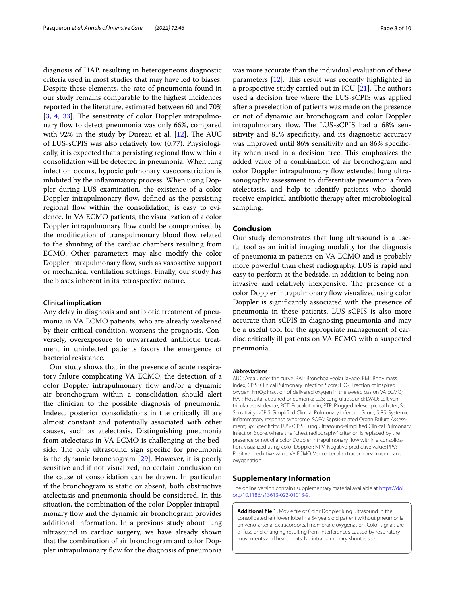diagnosis of HAP, resulting in heterogeneous diagnostic criteria used in most studies that may have led to biases. Despite these elements, the rate of pneumonia found in our study remains comparable to the highest incidences reported in the literature, estimated between 60 and 70%  $[3, 4, 33]$  $[3, 4, 33]$  $[3, 4, 33]$  $[3, 4, 33]$  $[3, 4, 33]$  $[3, 4, 33]$  $[3, 4, 33]$ . The sensitivity of color Doppler intrapulmonary flow to detect pneumonia was only 66%, compared with 92% in the study by Dureau et al.  $[12]$  $[12]$ . The AUC of LUS-sCPIS was also relatively low (0.77). Physiologically, it is expected that a persisting regional flow within a consolidation will be detected in pneumonia. When lung infection occurs, hypoxic pulmonary vasoconstriction is inhibited by the infammatory process. When using Doppler during LUS examination, the existence of a color Doppler intrapulmonary flow, defined as the persisting regional flow within the consolidation, is easy to evidence. In VA ECMO patients, the visualization of a color Doppler intrapulmonary flow could be compromised by the modification of transpulmonary blood flow related to the shunting of the cardiac chambers resulting from ECMO. Other parameters may also modify the color Doppler intrapulmonary flow, such as vasoactive support or mechanical ventilation settings. Finally, our study has the biases inherent in its retrospective nature.

#### **Clinical implication**

Any delay in diagnosis and antibiotic treatment of pneumonia in VA ECMO patients, who are already weakened by their critical condition, worsens the prognosis. Conversely, overexposure to unwarranted antibiotic treatment in uninfected patients favors the emergence of bacterial resistance.

Our study shows that in the presence of acute respiratory failure complicating VA ECMO, the detection of a color Doppler intrapulmonary flow and/or a dynamic air bronchogram within a consolidation should alert the clinician to the possible diagnosis of pneumonia. Indeed, posterior consolidations in the critically ill are almost constant and potentially associated with other causes, such as atelectasis. Distinguishing pneumonia from atelectasis in VA ECMO is challenging at the bedside. The only ultrasound sign specific for pneumonia is the dynamic bronchogram [\[29\]](#page-9-14). However, it is poorly sensitive and if not visualized, no certain conclusion on the cause of consolidation can be drawn. In particular, if the bronchogram is static or absent, both obstructive atelectasis and pneumonia should be considered. In this situation, the combination of the color Doppler intrapulmonary flow and the dynamic air bronchogram provides additional information. In a previous study about lung ultrasound in cardiac surgery, we have already shown that the combination of air bronchogram and color Doppler intrapulmonary flow for the diagnosis of pneumonia was more accurate than the individual evaluation of these parameters  $[12]$  $[12]$  $[12]$ . This result was recently highlighted in a prospective study carried out in ICU  $[21]$ . The authors used a decision tree where the LUS-sCPIS was applied after a preselection of patients was made on the presence or not of dynamic air bronchogram and color Doppler intrapulmonary flow. The LUS-sCPIS had a 68% sensitivity and 81% specificity, and its diagnostic accuracy was improved until 86% sensitivity and an 86% specifcity when used in a decision tree. This emphasizes the added value of a combination of air bronchogram and color Doppler intrapulmonary flow extended lung ultrasonography assessment to diferentiate pneumonia from atelectasis, and help to identify patients who should receive empirical antibiotic therapy after microbiological sampling.

#### **Conclusion**

Our study demonstrates that lung ultrasound is a useful tool as an initial imaging modality for the diagnosis of pneumonia in patients on VA ECMO and is probably more powerful than chest radiography. LUS is rapid and easy to perform at the bedside, in addition to being noninvasive and relatively inexpensive. The presence of a color Doppler intrapulmonary fow visualized using color Doppler is signifcantly associated with the presence of pneumonia in these patients. LUS-sCPIS is also more accurate than sCPIS in diagnosing pneumonia and may be a useful tool for the appropriate management of cardiac critically ill patients on VA ECMO with a suspected pneumonia.

#### **Abbreviations**

AUC: Area under the curve; BAL: Bronchoalveolar lavage; BMI: Body mass index: CPIS: Clinical Pulmonary Infection Score: FiO<sub>2</sub>: Fraction of inspired oxygen; FmO<sub>2</sub>: Fraction of delivered oxygen in the sweep gas on VA ECMO; HAP: Hospital-acquired pneumonia; LUS: Lung ultrasound; LVAD: Left ventricular assist device; PCT: Procalcitonin; PTP: Plugged telescopic catheter; Se: Sensitivity; sCPIS: Simplifed Clinical Pulmonary Infection Score; SIRS: Systemic inflammatory response syndrome; SOFA: Sepsis-related Organ Failure Assessment; Sp: Specifcity; LUS-sCPIS: Lung ultrasound-simplifed Clinical Pulmonary Infection Score, where the "chest radiography" criterion is replaced by the presence or not of a color Doppler intrapulmonary flow within a consolidation, visualized using color Doppler; NPV: Negative predictive value; PPV: Positive predictive value; VA ECMO: Venoarterial extracorporeal membrane oxygenation.

## **Supplementary Information**

The online version contains supplementary material available at [https://doi.](https://doi.org/10.1186/s13613-022-01013-9) [org/10.1186/s13613-022-01013-9](https://doi.org/10.1186/s13613-022-01013-9).

<span id="page-7-1"></span><span id="page-7-0"></span>**Additional fle 1.** Movie fle of Color Doppler lung ultrasound in the consolidated left lower lobe in a 54 years old patient without pneumonia on veno-arterial extracorporeal membrane oxygenation. Color signals are difuse and changing resulting from interferences caused by respiratory movements and heart beats. No intrapulmonary shunt is seen.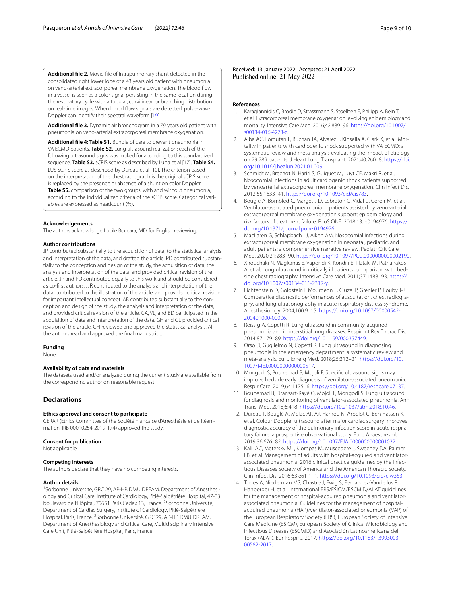**Additional fle 2.** Movie fle of Intrapulmonary shunt detected in the consolidated right lower lobe of a 43 years old patient with pneumonia on veno-arterial extracorporeal membrane oxygenation. The blood flow in a vessel is seen as a color signal persisting in the same location during the respiratory cycle with a tubular, curvilinear, or branching distribution on real-time images. When blood fow signals are detected, pulse-wave Doppler can identify their spectral waveform [[19\]](#page-9-4).

<span id="page-8-12"></span>**Additional fle 3.** Dynamic air bronchogram in a 79 years old patient with pneumonia on veno-arterial extracorporeal membrane oxygenation.

**Additional fle 4: Table S1.** Bundle of care to prevent pneumonia in VA ECMO patients. **Table S2.** Lung ultrasound realization: each of the following ultrasound signs was looked for according to this standardized sequence. **Table S3.** sCPIS score as described by Luna et al [17]. **Table S4.** LUS-sCPIS score as described by Dureau et al [10]. The criterion based on the interpretation of the chest radiograph is the original sCPIS score is replaced by the presence or absence of a shunt on color Doppler. **Table S5.** comparison of the two groups, with and without pneumonia, according to the individualized criteria of the sCPIS score. Categorical variables are expressed as headcount (%).

#### **Acknowledgements**

The authors acknowledge Lucile Boccara, MD, for English reviewing.

#### **Author contributions**

JP contributed substantially to the acquisition of data, to the statistical analysis and interpretation of the data, and drafted the article. PD contributed substantially to the conception and design of the study, the acquisition of data, the analysis and interpretation of the data, and provided critical revision of the article. JP and PD contributed equally to this work and should be considered as co-frst authors. JJR contributed to the analysis and interpretation of the data, contributed to the illustration of the article, and provided critical revision for important intellectual concept. AB contributed substantially to the conception and design of the study, the analysis and interpretation of the data, and provided critical revision of the article. GA, VL, and BD participated in the acquisition of data and interpretation of the data. GH and GL provided critical revision of the article. GH reviewed and approved the statistical analysis. All the authors read and approved the fnal manuscript.

#### **Funding**

None.

#### **Availability of data and materials**

The datasets used and/or analyzed during the current study are available from the corresponding author on reasonable request.

#### **Declarations**

#### **Ethics approval and consent to participate**

CERAR (Ethics Committee of the Société Française d'Anesthésie et de Réanimation, IRB 00010254-2019-174) approved the study.

#### **Consent for publication**

Not applicable.

#### **Competing interests**

The authors declare that they have no competing interests.

#### **Author details**

<sup>1</sup> Sorbonne Université, GRC 29, AP-HP, DMU DREAM, Department of Anesthesiology and Critical Care, Institute of Cardiology, Pitié-Salpêtrière Hospital, 47‑83 boulevard de l'Hôpital, 75651 Paris Cedex 13, France. <sup>2</sup>Sorbonne Université, Department of Cardiac Surgery, Institute of Cardiology, Pitié-Salpêtrière Hospital, Paris, France. <sup>3</sup>Sorbonne Université, GRC 29, AP-HP, DMU DREAM, Department of Anesthesiology and Critical Care, Multidisciplinary Intensive Care Unit, Pitié-Salpêtrière Hospital, Paris, France.

Received: 13 January 2022 Accepted: 21 April 2022

#### **References**

- <span id="page-8-15"></span><span id="page-8-0"></span>1. Karagiannidis C, Brodie D, Strassmann S, Stoelben E, Philipp A, Bein T, et al. Extracorporeal membrane oxygenation: evolving epidemiology and mortality. Intensive Care Med. 2016;42:889–96. [https://doi.org/10.1007/](https://doi.org/10.1007/s00134-016-4273-z) [s00134-016-4273-z](https://doi.org/10.1007/s00134-016-4273-z).
- <span id="page-8-1"></span>2. Alba AC, Foroutan F, Buchan TA, Alvarez J, Kinsella A, Clark K, et al. Mortality in patients with cardiogenic shock supported with VA ECMO: a systematic review and meta-analysis evaluating the impact of etiology on 29,289 patients. J Heart Lung Transplant. 2021;40:260–8. [https://doi.](https://doi.org/10.1016/j.healun.2021.01.009) [org/10.1016/j.healun.2021.01.009](https://doi.org/10.1016/j.healun.2021.01.009).
- <span id="page-8-2"></span>3. Schmidt M, Brechot N, Hariri S, Guiguet M, Luyt CE, Makri R, et al. Nosocomial infections in adult cardiogenic shock patients supported by venoarterial extracorporeal membrane oxygenation. Clin Infect Dis. 2012;55:1633–41. <https://doi.org/10.1093/cid/cis783>.
- <span id="page-8-3"></span>4. Bouglé A, Bombled C, Margetis D, Lebreton G, Vidal C, Coroir M, et al. Ventilator-associated pneumonia in patients assisted by veno-arterial extracorporeal membrane oxygenation support: epidemiology and risk factors of treatment failure. PLoS ONE. 2018;13: e0194976. [https://](https://doi.org/10.1371/journal.pone.0194976) [doi.org/10.1371/journal.pone.0194976.](https://doi.org/10.1371/journal.pone.0194976)
- <span id="page-8-4"></span>5. MacLaren G, Schlapbach LJ, Aiken AM. Nosocomial infections during extracorporeal membrane oxygenation in neonatal, pediatric, and adult patients: a comprehensive narrative review. Pediatr Crit Care Med. 2020;21:283–90. [https://doi.org/10.1097/PCC.0000000000002190.](https://doi.org/10.1097/PCC.0000000000002190)
- <span id="page-8-5"></span>6. Xirouchaki N, Magkanas E, Vaporidi K, Kondili E, Plataki M, Patrianakos A, et al. Lung ultrasound in critically ill patients: comparison with bedside chest radiography. Intensive Care Med. 2011;37:1488–93. [https://](https://doi.org/10.1007/s00134-011-2317-y) [doi.org/10.1007/s00134-011-2317-y](https://doi.org/10.1007/s00134-011-2317-y).
- <span id="page-8-6"></span>7. Lichtenstein D, Goldstein I, Mourgeon E, Cluzel P, Grenier P, Rouby J-J. Comparative diagnostic performances of auscultation, chest radiography, and lung ultrasonography in acute respiratory distress syndrome. Anesthesiology. 2004;100:9–15. [https://doi.org/10.1097/00000542-](https://doi.org/10.1097/00000542-200401000-00006) [200401000-00006.](https://doi.org/10.1097/00000542-200401000-00006)
- <span id="page-8-7"></span>8. Reissig A, Copetti R. Lung ultrasound in community-acquired pneumonia and in interstitial lung diseases. Respir Int Rev Thorac Dis. 2014;87:179–89. <https://doi.org/10.1159/000357449>.
- <span id="page-8-8"></span>9. Orso D, Guglielmo N, Copetti R. Lung ultrasound in diagnosing pneumonia in the emergency department: a systematic review and meta-analysis. Eur J Emerg Med. 2018;25:312–21. [https://doi.org/10.](https://doi.org/10.1097/MEJ.0000000000000517) [1097/MEJ.0000000000000517](https://doi.org/10.1097/MEJ.0000000000000517).
- <span id="page-8-9"></span>10. Mongodi S, Bouhemad B, Mojoli F. Specifc ultrasound signs may improve bedside early diagnosis of ventilator-associated pneumonia. Respir Care. 2019;64:1175–6.<https://doi.org/10.4187/respcare.07137>.
- <span id="page-8-10"></span>11. Bouhemad B, Dransart-Rayé O, Mojoli F, Mongodi S. Lung ultrasound for diagnosis and monitoring of ventilator-associated pneumonia. Ann Transl Med. 2018;6:418.<https://doi.org/10.21037/atm.2018.10.46>.
- <span id="page-8-11"></span>12. Dureau P, Bouglé A, Melac AT, Ait Hamou N, Arbelot C, Ben Hassen K, et al. Colour Doppler ultrasound after major cardiac surgery improves diagnostic accuracy of the pulmonary infection score in acute respiratory failure: a prospective observational study. Eur J Anaesthesiol. 2019;36:676–82. [https://doi.org/10.1097/EJA.0000000000001022.](https://doi.org/10.1097/EJA.0000000000001022)
- <span id="page-8-13"></span>13. Kalil AC, Metersky ML, Klompas M, Muscedere J, Sweeney DA, Palmer LB, et al. Management of adults with hospital-acquired and ventilatorassociated pneumonia: 2016 clinical practice guidelines by the Infectious Diseases Society of America and the American Thoracic Society. Clin Infect Dis. 2016;63:e61-111. <https://doi.org/10.1093/cid/ciw353>.
- <span id="page-8-14"></span>14. Torres A, Niederman MS, Chastre J, Ewig S, Fernandez-Vandellos P, Hanberger H, et al. International ERS/ESICM/ESCMID/ALAT guidelines for the management of hospital-acquired pneumonia and ventilatorassociated pneumonia: Guidelines for the management of hospitalacquired pneumonia (HAP)/ventilator-associated pneumonia (VAP) of the European Respiratory Society (ERS), European Society of Intensive Care Medicine (ESICM), European Society of Clinical Microbiology and Infectious Diseases (ESCMID) and Asociación Latinoamericana del Tórax (ALAT). Eur Respir J. 2017. [https://doi.org/10.1183/13993003.](https://doi.org/10.1183/13993003.00582-2017) [00582-2017.](https://doi.org/10.1183/13993003.00582-2017)